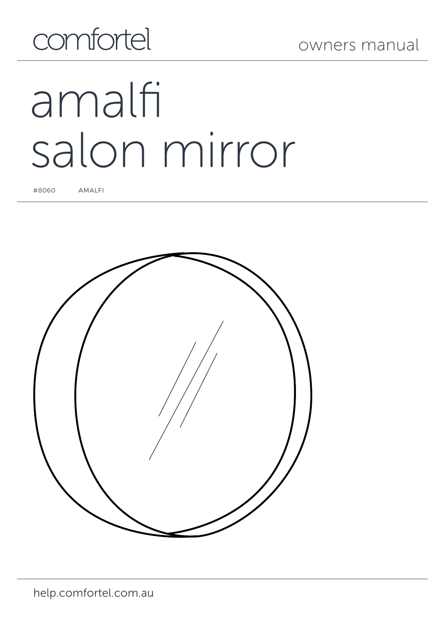# comfortel

# amalfi salon mirror

#8060 AMALFI

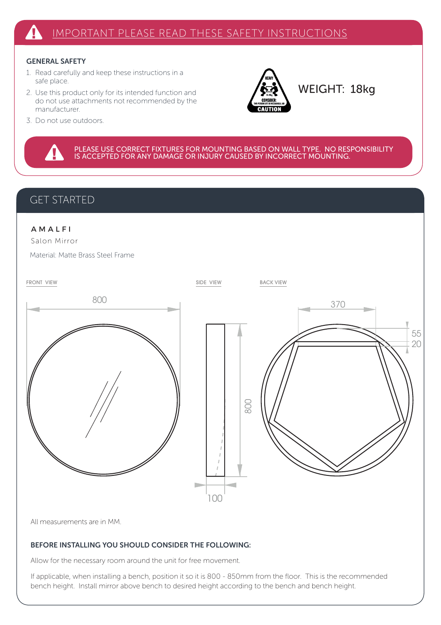#### GENERAL SAFETY

- 1. Read carefully and keep these instructions in a safe place.
- 2. Use this product only for its intended function and do not use attachments not recommended by the manufacturer.



WEIGHT: 18kg

3. Do not use outdoors.

PLEASE USE CORRECT FIXTURES FOR MOUNTING BASED ON WALL TYPE. NO RESPONSIBILITY<br>IS ACCEPTED FOR ANY DAMAGE OR INJURY CAUSED BY INCORRECT MOUNTING.

#### GET STARTED

#### A M A L F I

Salon Mirror

Material: Matte Brass Steel Frame



All measurements are in MM.

#### BEFORE INSTALLING YOU SHOULD CONSIDER THE FOLLOWING:

Allow for the necessary room around the unit for free movement.

If applicable, when installing a bench, position it so it is 800 - 850mm from the floor. This is the recommended bench height. Install mirror above bench to desired height according to the bench and bench height.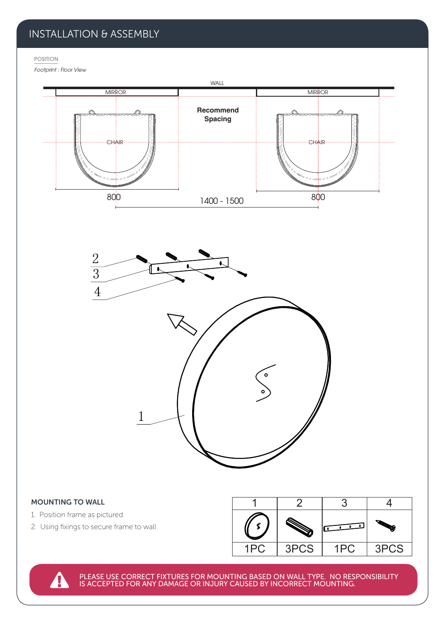## INSTALLATION & ASSEMBLY

POSITION

```
Footprint : Floor View
```


|      |      |     | <b>STERN CONTROL</b> |
|------|------|-----|----------------------|
| 1PC. | 3PCS | 1PC | 3PCS                 |

PLEASE USE CORRECT FIXTURES FOR MOUNTING BASED ON WALL TYPE. NO RESPONSIBILITY IS ACCEPTED FOR ANY DAMAGE OR INJURY CAUSED BY INCORRECT MOUNTING.